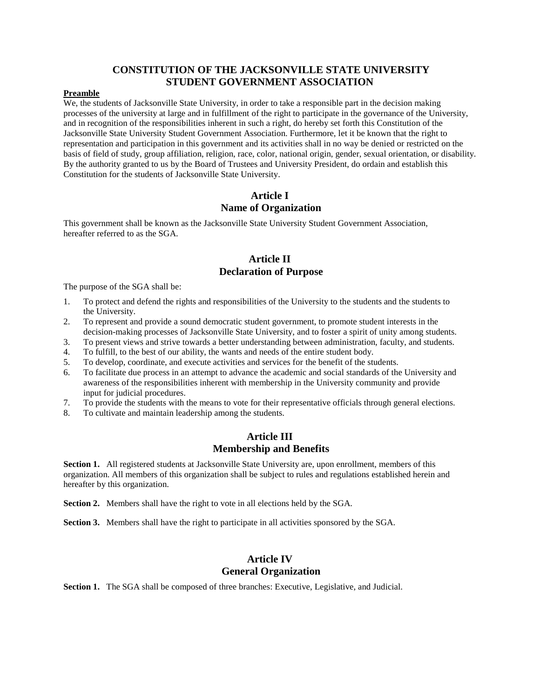## **CONSTITUTION OF THE JACKSONVILLE STATE UNIVERSITY STUDENT GOVERNMENT ASSOCIATION**

### **Preamble**

We, the students of Jacksonville State University, in order to take a responsible part in the decision making processes of the university at large and in fulfillment of the right to participate in the governance of the University, and in recognition of the responsibilities inherent in such a right, do hereby set forth this Constitution of the Jacksonville State University Student Government Association. Furthermore, let it be known that the right to representation and participation in this government and its activities shall in no way be denied or restricted on the basis of field of study, group affiliation, religion, race, color, national origin, gender, sexual orientation, or disability. By the authority granted to us by the Board of Trustees and University President, do ordain and establish this Constitution for the students of Jacksonville State University.

## **Article I Name of Organization**

This government shall be known as the Jacksonville State University Student Government Association, hereafter referred to as the SGA.

## **Article II Declaration of Purpose**

The purpose of the SGA shall be:

- 1. To protect and defend the rights and responsibilities of the University to the students and the students to the University.
- 2. To represent and provide a sound democratic student government, to promote student interests in the decision-making processes of Jacksonville State University, and to foster a spirit of unity among students.
- 3. To present views and strive towards a better understanding between administration, faculty, and students.
- 4. To fulfill, to the best of our ability, the wants and needs of the entire student body.
- 5. To develop, coordinate, and execute activities and services for the benefit of the students.
- 6. To facilitate due process in an attempt to advance the academic and social standards of the University and awareness of the responsibilities inherent with membership in the University community and provide input for judicial procedures.
- 7. To provide the students with the means to vote for their representative officials through general elections.
- 8. To cultivate and maintain leadership among the students.

## **Article III Membership and Benefits**

**Section 1.** All registered students at Jacksonville State University are, upon enrollment, members of this organization. All members of this organization shall be subject to rules and regulations established herein and hereafter by this organization.

**Section 2.** Members shall have the right to vote in all elections held by the SGA.

**Section 3.** Members shall have the right to participate in all activities sponsored by the SGA.

## **Article IV General Organization**

**Section 1.** The SGA shall be composed of three branches: Executive, Legislative, and Judicial.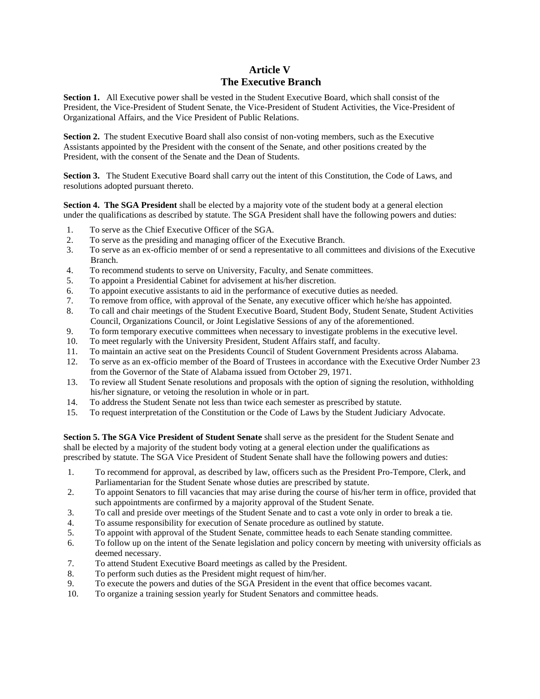## **Article V The Executive Branch**

**Section 1.** All Executive power shall be vested in the Student Executive Board, which shall consist of the President, the Vice-President of Student Senate, the Vice-President of Student Activities, the Vice-President of Organizational Affairs, and the Vice President of Public Relations.

**Section 2.** The student Executive Board shall also consist of non-voting members, such as the Executive Assistants appointed by the President with the consent of the Senate, and other positions created by the President, with the consent of the Senate and the Dean of Students.

**Section 3.** The Student Executive Board shall carry out the intent of this Constitution, the Code of Laws, and resolutions adopted pursuant thereto.

**Section 4. The SGA President** shall be elected by a majority vote of the student body at a general election under the qualifications as described by statute. The SGA President shall have the following powers and duties:

- 1. To serve as the Chief Executive Officer of the SGA.
- 2. To serve as the presiding and managing officer of the Executive Branch.
- 3. To serve as an ex-officio member of or send a representative to all committees and divisions of the Executive Branch.
- 4. To recommend students to serve on University, Faculty, and Senate committees.
- 5. To appoint a Presidential Cabinet for advisement at his/her discretion.
- 6. To appoint executive assistants to aid in the performance of executive duties as needed.
- 7. To remove from office, with approval of the Senate, any executive officer which he/she has appointed.
- 8. To call and chair meetings of the Student Executive Board, Student Body, Student Senate, Student Activities Council, Organizations Council, or Joint Legislative Sessions of any of the aforementioned.
- 9. To form temporary executive committees when necessary to investigate problems in the executive level.
- 10. To meet regularly with the University President, Student Affairs staff, and faculty.
- 11. To maintain an active seat on the Presidents Council of Student Government Presidents across Alabama.
- 12. To serve as an ex-officio member of the Board of Trustees in accordance with the Executive Order Number 23 from the Governor of the State of Alabama issued from October 29, 1971.
- 13. To review all Student Senate resolutions and proposals with the option of signing the resolution, withholding his/her signature, or vetoing the resolution in whole or in part.
- 14. To address the Student Senate not less than twice each semester as prescribed by statute.
- 15. To request interpretation of the Constitution or the Code of Laws by the Student Judiciary Advocate.

**Section 5. The SGA Vice President of Student Senate** shall serve as the president for the Student Senate and shall be elected by a majority of the student body voting at a general election under the qualifications as prescribed by statute. The SGA Vice President of Student Senate shall have the following powers and duties:

- 1. To recommend for approval, as described by law, officers such as the President Pro-Tempore, Clerk, and Parliamentarian for the Student Senate whose duties are prescribed by statute.
- 2. To appoint Senators to fill vacancies that may arise during the course of his/her term in office, provided that such appointments are confirmed by a majority approval of the Student Senate.
- 3. To call and preside over meetings of the Student Senate and to cast a vote only in order to break a tie.
- 4. To assume responsibility for execution of Senate procedure as outlined by statute.
- 5. To appoint with approval of the Student Senate, committee heads to each Senate standing committee.
- 6. To follow up on the intent of the Senate legislation and policy concern by meeting with university officials as deemed necessary.
- 7. To attend Student Executive Board meetings as called by the President.
- 8. To perform such duties as the President might request of him/her.
- 9. To execute the powers and duties of the SGA President in the event that office becomes vacant.
- 10. To organize a training session yearly for Student Senators and committee heads.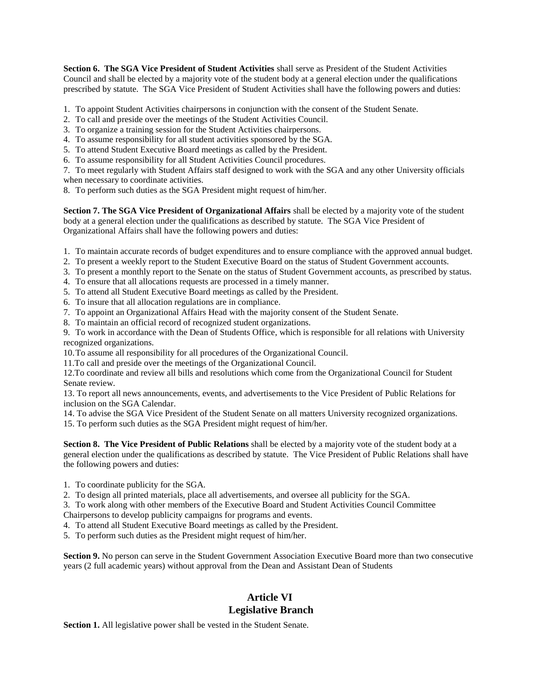**Section 6. The SGA Vice President of Student Activities** shall serve as President of the Student Activities Council and shall be elected by a majority vote of the student body at a general election under the qualifications prescribed by statute. The SGA Vice President of Student Activities shall have the following powers and duties:

- 1. To appoint Student Activities chairpersons in conjunction with the consent of the Student Senate.
- 2. To call and preside over the meetings of the Student Activities Council.
- 3. To organize a training session for the Student Activities chairpersons.
- 4. To assume responsibility for all student activities sponsored by the SGA.
- 5. To attend Student Executive Board meetings as called by the President.
- 6. To assume responsibility for all Student Activities Council procedures.

7. To meet regularly with Student Affairs staff designed to work with the SGA and any other University officials when necessary to coordinate activities.

8. To perform such duties as the SGA President might request of him/her.

**Section 7. The SGA Vice President of Organizational Affairs** shall be elected by a majority vote of the student body at a general election under the qualifications as described by statute. The SGA Vice President of Organizational Affairs shall have the following powers and duties:

- 1. To maintain accurate records of budget expenditures and to ensure compliance with the approved annual budget.
- 2. To present a weekly report to the Student Executive Board on the status of Student Government accounts.
- 3. To present a monthly report to the Senate on the status of Student Government accounts, as prescribed by status.
- 4. To ensure that all allocations requests are processed in a timely manner.
- 5. To attend all Student Executive Board meetings as called by the President.
- 6. To insure that all allocation regulations are in compliance.
- 7. To appoint an Organizational Affairs Head with the majority consent of the Student Senate.
- 8. To maintain an official record of recognized student organizations.

9. To work in accordance with the Dean of Students Office, which is responsible for all relations with University recognized organizations.

10.To assume all responsibility for all procedures of the Organizational Council.

11.To call and preside over the meetings of the Organizational Council.

12.To coordinate and review all bills and resolutions which come from the Organizational Council for Student Senate review.

13. To report all news announcements, events, and advertisements to the Vice President of Public Relations for inclusion on the SGA Calendar.

14. To advise the SGA Vice President of the Student Senate on all matters University recognized organizations.

15. To perform such duties as the SGA President might request of him/her.

**Section 8. The Vice President of Public Relations** shall be elected by a majority vote of the student body at a general election under the qualifications as described by statute. The Vice President of Public Relations shall have the following powers and duties:

- 1. To coordinate publicity for the SGA.
- 2. To design all printed materials, place all advertisements, and oversee all publicity for the SGA.
- 3. To work along with other members of the Executive Board and Student Activities Council Committee

Chairpersons to develop publicity campaigns for programs and events.

4. To attend all Student Executive Board meetings as called by the President.

5. To perform such duties as the President might request of him/her.

**Section 9.** No person can serve in the Student Government Association Executive Board more than two consecutive years (2 full academic years) without approval from the Dean and Assistant Dean of Students

# **Article VI Legislative Branch**

**Section 1.** All legislative power shall be vested in the Student Senate.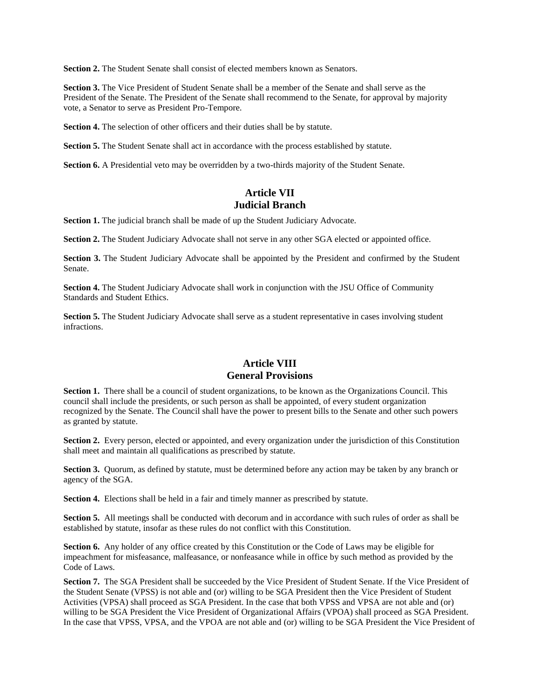**Section 2.** The Student Senate shall consist of elected members known as Senators.

**Section 3.** The Vice President of Student Senate shall be a member of the Senate and shall serve as the President of the Senate. The President of the Senate shall recommend to the Senate, for approval by majority vote, a Senator to serve as President Pro-Tempore.

Section 4. The selection of other officers and their duties shall be by statute.

Section 5. The Student Senate shall act in accordance with the process established by statute.

**Section 6.** A Presidential veto may be overridden by a two-thirds majority of the Student Senate.

## **Article VII Judicial Branch**

**Section 1.** The judicial branch shall be made of up the Student Judiciary Advocate.

**Section 2.** The Student Judiciary Advocate shall not serve in any other SGA elected or appointed office.

**Section 3.** The Student Judiciary Advocate shall be appointed by the President and confirmed by the Student Senate.

**Section 4.** The Student Judiciary Advocate shall work in conjunction with the JSU Office of Community Standards and Student Ethics.

**Section 5.** The Student Judiciary Advocate shall serve as a student representative in cases involving student infractions.

# **Article VIII General Provisions**

**Section 1.** There shall be a council of student organizations, to be known as the Organizations Council. This council shall include the presidents, or such person as shall be appointed, of every student organization recognized by the Senate. The Council shall have the power to present bills to the Senate and other such powers as granted by statute.

**Section 2.** Every person, elected or appointed, and every organization under the jurisdiction of this Constitution shall meet and maintain all qualifications as prescribed by statute.

**Section 3.** Quorum, as defined by statute, must be determined before any action may be taken by any branch or agency of the SGA.

**Section 4.** Elections shall be held in a fair and timely manner as prescribed by statute.

**Section 5.** All meetings shall be conducted with decorum and in accordance with such rules of order as shall be established by statute, insofar as these rules do not conflict with this Constitution.

**Section 6.** Any holder of any office created by this Constitution or the Code of Laws may be eligible for impeachment for misfeasance, malfeasance, or nonfeasance while in office by such method as provided by the Code of Laws.

**Section 7.** The SGA President shall be succeeded by the Vice President of Student Senate. If the Vice President of the Student Senate (VPSS) is not able and (or) willing to be SGA President then the Vice President of Student Activities (VPSA) shall proceed as SGA President. In the case that both VPSS and VPSA are not able and (or) willing to be SGA President the Vice President of Organizational Affairs (VPOA) shall proceed as SGA President. In the case that VPSS, VPSA, and the VPOA are not able and (or) willing to be SGA President the Vice President of